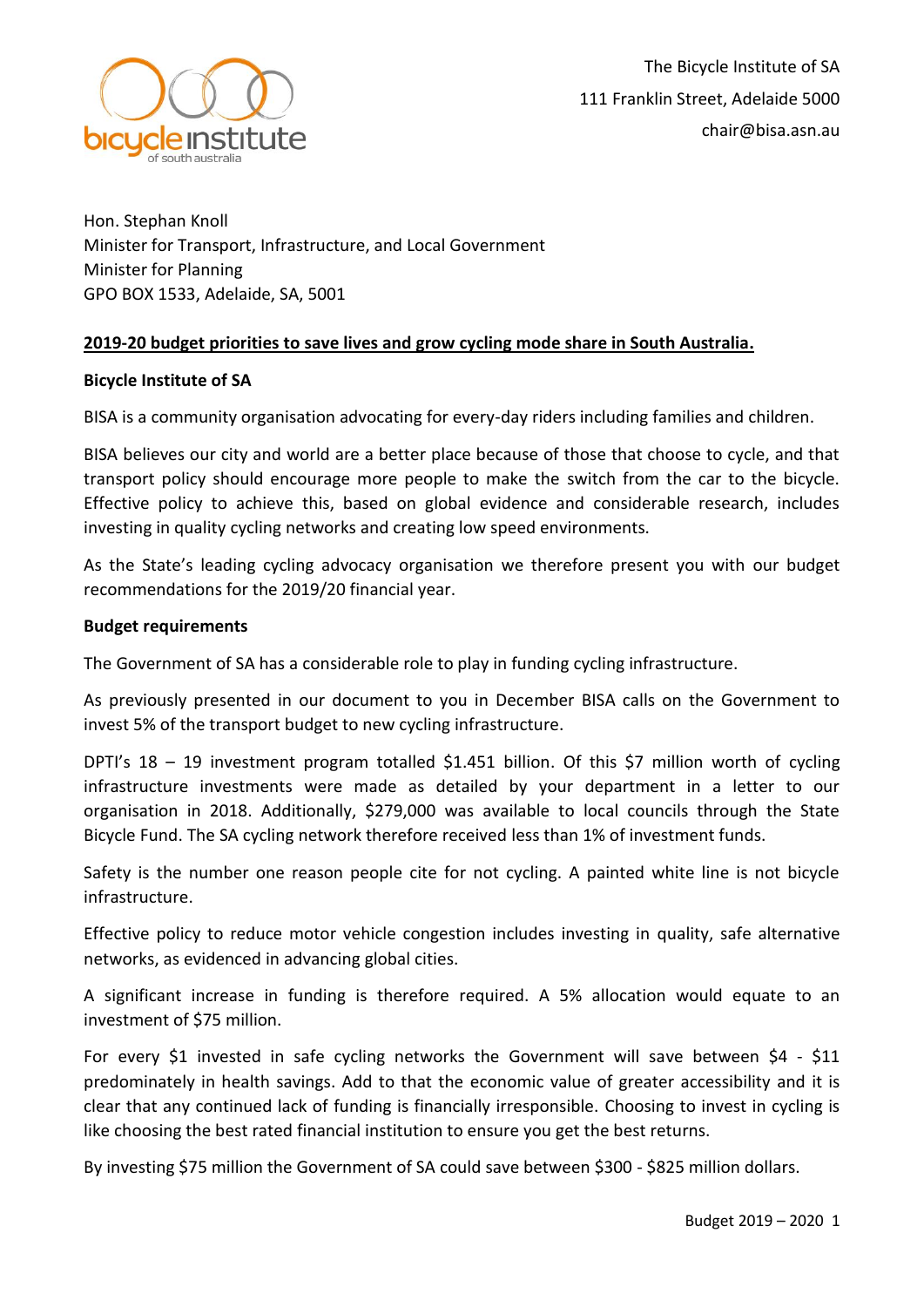

Hon. Stephan Knoll Minister for Transport, Infrastructure, and Local Government Minister for Planning GPO BOX 1533, Adelaide, SA, 5001

# **2019-20 budget priorities to save lives and grow cycling mode share in South Australia.**

## **Bicycle Institute of SA**

BISA is a community organisation advocating for every-day riders including families and children.

BISA believes our city and world are a better place because of those that choose to cycle, and that transport policy should encourage more people to make the switch from the car to the bicycle. Effective policy to achieve this, based on global evidence and considerable research, includes investing in quality cycling networks and creating low speed environments.

As the State's leading cycling advocacy organisation we therefore present you with our budget recommendations for the 2019/20 financial year.

## **Budget requirements**

The Government of SA has a considerable role to play in funding cycling infrastructure.

As previously presented in our document to you in December BISA calls on the Government to invest 5% of the transport budget to new cycling infrastructure.

DPTI's 18 – 19 investment program totalled \$1.451 billion. Of this \$7 million worth of cycling infrastructure investments were made as detailed by your department in a letter to our organisation in 2018. Additionally, \$279,000 was available to local councils through the State Bicycle Fund. The SA cycling network therefore received less than 1% of investment funds.

Safety is the number one reason people cite for not cycling. A painted white line is not bicycle infrastructure.

Effective policy to reduce motor vehicle congestion includes investing in quality, safe alternative networks, as evidenced in advancing global cities.

A significant increase in funding is therefore required. A 5% allocation would equate to an investment of \$75 million.

For every \$1 invested in safe cycling networks the Government will save between \$4 - \$11 predominately in health savings. Add to that the economic value of greater accessibility and it is clear that any continued lack of funding is financially irresponsible. Choosing to invest in cycling is like choosing the best rated financial institution to ensure you get the best returns.

By investing \$75 million the Government of SA could save between \$300 - \$825 million dollars.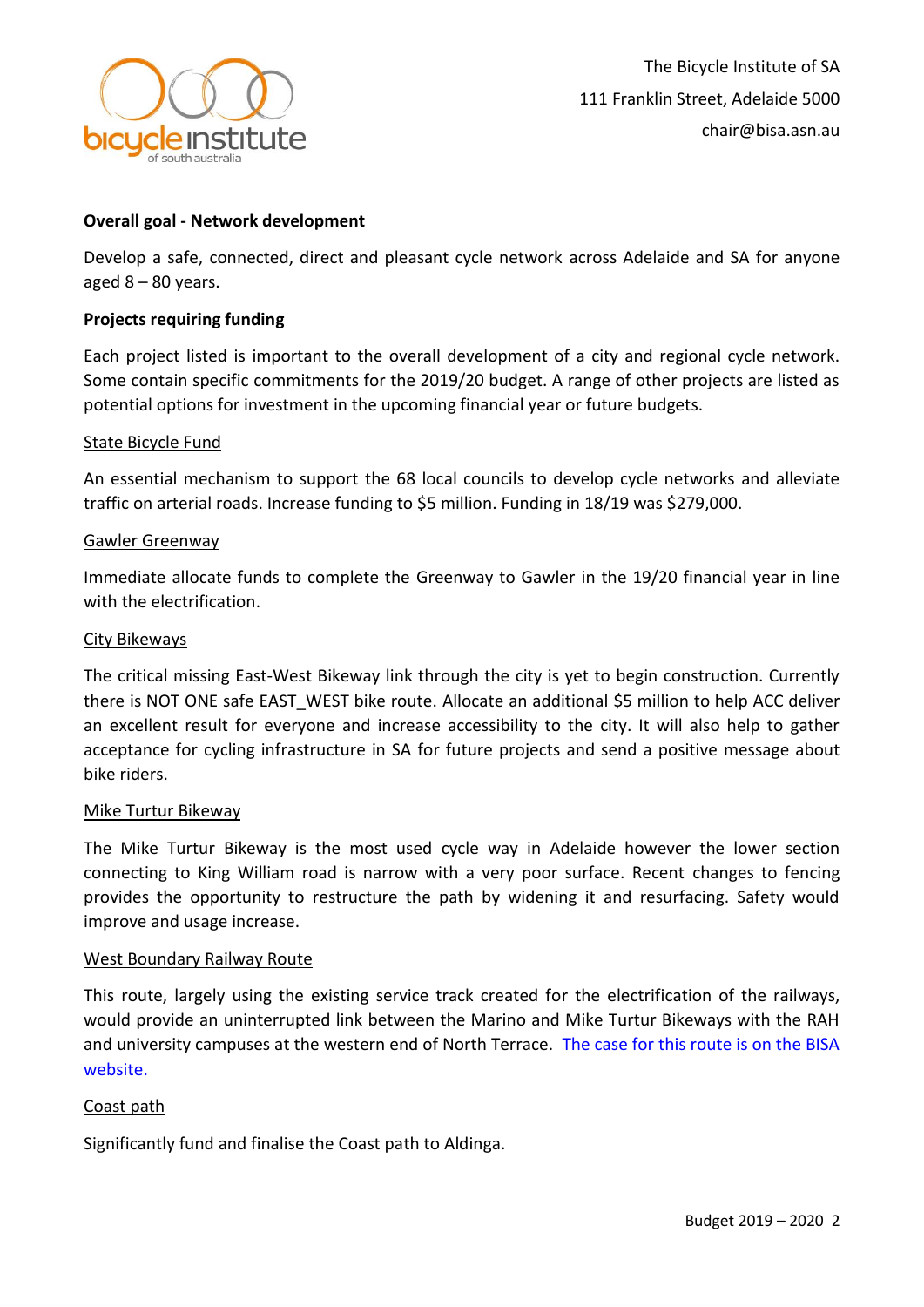

# **Overall goal - Network development**

Develop a safe, connected, direct and pleasant cycle network across Adelaide and SA for anyone aged  $8 - 80$  years.

### **Projects requiring funding**

Each project listed is important to the overall development of a city and regional cycle network. Some contain specific commitments for the 2019/20 budget. A range of other projects are listed as potential options for investment in the upcoming financial year or future budgets.

### State Bicycle Fund

An essential mechanism to support the 68 local councils to develop cycle networks and alleviate traffic on arterial roads. Increase funding to \$5 million. Funding in 18/19 was \$279,000.

### Gawler Greenway

Immediate allocate funds to complete the Greenway to Gawler in the 19/20 financial year in line with the electrification.

### City Bikeways

The critical missing East-West Bikeway link through the city is yet to begin construction. Currently there is NOT ONE safe EAST\_WEST bike route. Allocate an additional \$5 million to help ACC deliver an excellent result for everyone and increase accessibility to the city. It will also help to gather acceptance for cycling infrastructure in SA for future projects and send a positive message about bike riders.

#### Mike Turtur Bikeway

The Mike Turtur Bikeway is the most used cycle way in Adelaide however the lower section connecting to King William road is narrow with a very poor surface. Recent changes to fencing provides the opportunity to restructure the path by widening it and resurfacing. Safety would improve and usage increase.

#### West Boundary Railway Route

This route, largely using the existing service track created for the electrification of the railways, would provide an uninterrupted link between the Marino and Mike Turtur Bikeways with the RAH and university campuses at the western end of North Terrace. [The case for this route is on the BISA](http://www.bicycleinstitutesa.com/wp-content/uploads/2019/04/201904-West-boundary-railway-route.pdf)  [website.](http://www.bicycleinstitutesa.com/wp-content/uploads/2019/04/201904-West-boundary-railway-route.pdf)

## Coast path

Significantly fund and finalise the Coast path to Aldinga.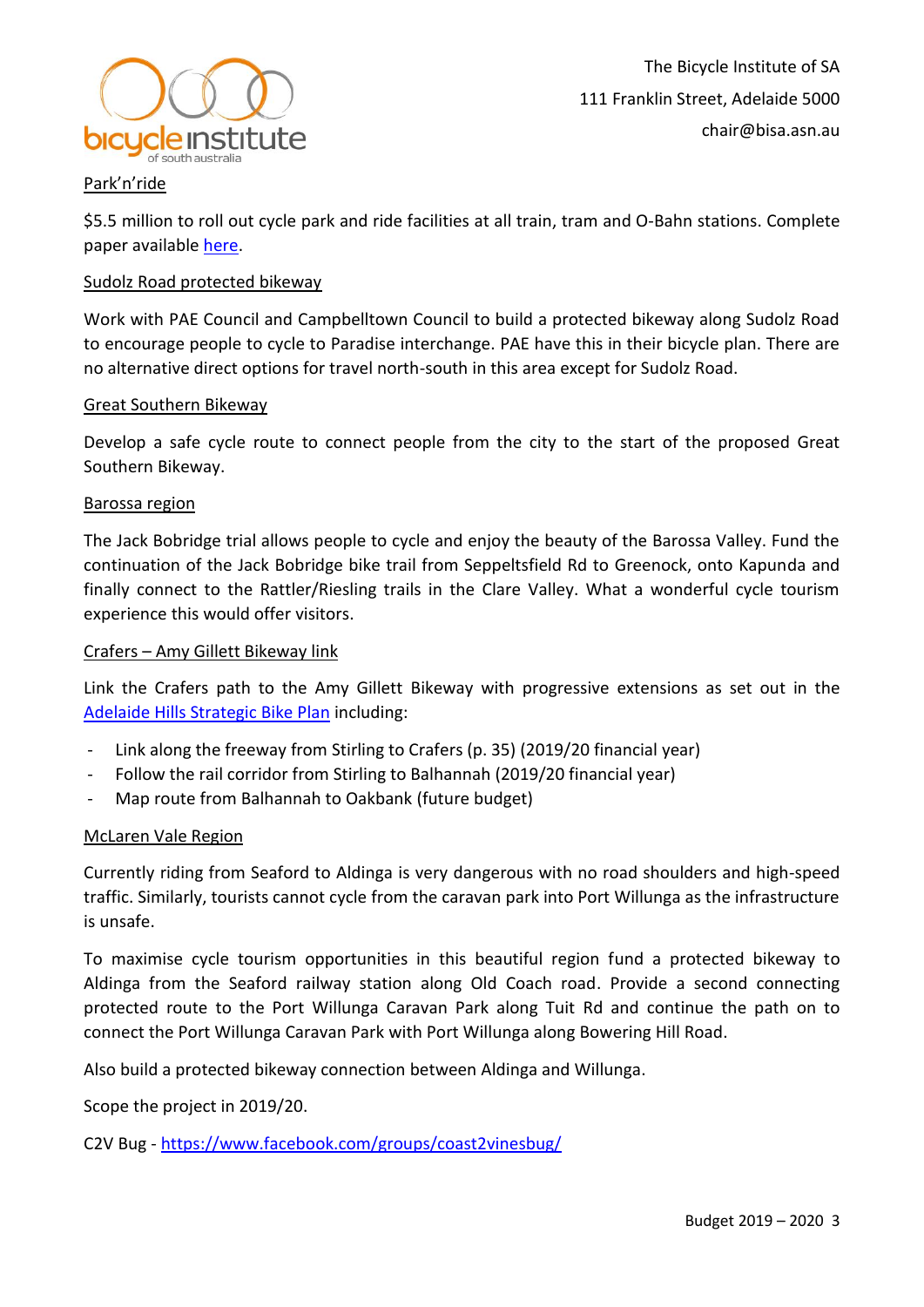

# Park'n'ride

\$5.5 million to roll out cycle park and ride facilities at all train, tram and O-Bahn stations. Complete paper available [here.](http://www.bicycleinstitutesa.com/wp-content/uploads/2019/04/CYCLE-PARK-N-RIDE-Findings.docx)

### Sudolz Road protected bikeway

Work with PAE Council and Campbelltown Council to build a protected bikeway along Sudolz Road to encourage people to cycle to Paradise interchange. PAE have this in their bicycle plan. There are no alternative direct options for travel north-south in this area except for Sudolz Road.

### Great Southern Bikeway

Develop a safe cycle route to connect people from the city to the start of the proposed Great Southern Bikeway.

#### Barossa region

The Jack Bobridge trial allows people to cycle and enjoy the beauty of the Barossa Valley. Fund the continuation of the Jack Bobridge bike trail from Seppeltsfield Rd to Greenock, onto Kapunda and finally connect to the Rattler/Riesling trails in the Clare Valley. What a wonderful cycle tourism experience this would offer visitors.

#### Crafers – Amy Gillett Bikeway link

Link the Crafers path to the Amy Gillett Bikeway with progressive extensions as set out in the [Adelaide Hills Strategic Bike Plan](https://www.ahc.sa.gov.au/ahc-council/Documents/Recreation-Documents/COUNCIL-Rec-Local-Area-Strategic-Bike-Plan-2016-07-26.pdf#search=cycling%20plan) including:

- Link along the freeway from Stirling to Crafers (p. 35) (2019/20 financial year)
- Follow the rail corridor from Stirling to Balhannah (2019/20 financial year)
- Map route from Balhannah to Oakbank (future budget)

## McLaren Vale Region

Currently riding from Seaford to Aldinga is very dangerous with no road shoulders and high-speed traffic. Similarly, tourists cannot cycle from the caravan park into Port Willunga as the infrastructure is unsafe.

To maximise cycle tourism opportunities in this beautiful region fund a protected bikeway to Aldinga from the Seaford railway station along Old Coach road. Provide a second connecting protected route to the Port Willunga Caravan Park along Tuit Rd and continue the path on to connect the Port Willunga Caravan Park with Port Willunga along Bowering Hill Road.

Also build a protected bikeway connection between Aldinga and Willunga.

Scope the project in 2019/20.

C2V Bug - <https://www.facebook.com/groups/coast2vinesbug/>